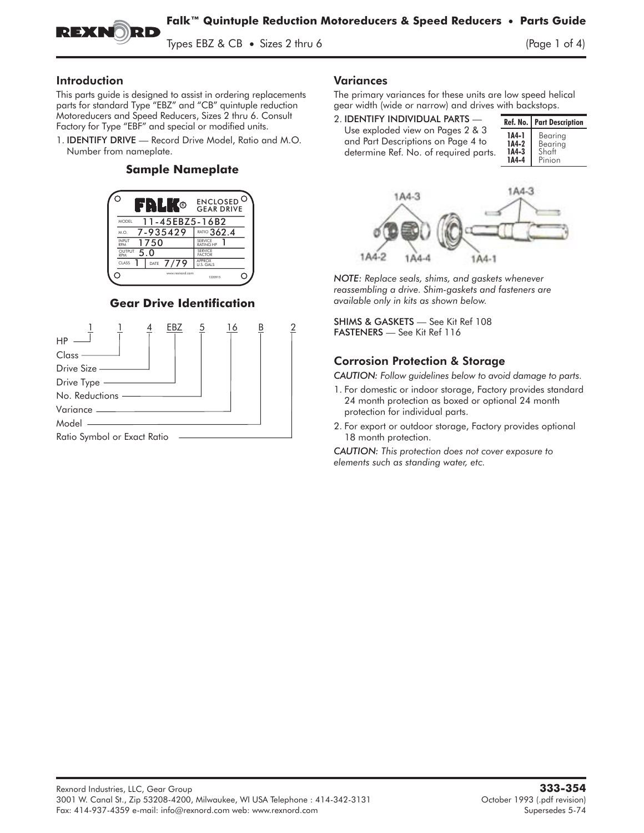

Types EBZ & CB • Sizes 2 thru 6 (Page 1 of 4)

#### Introduction

This parts guide is designed to assist in ordering replacements parts for standard Type "EBZ" and "CB" quintuple reduction Motoreducers and Speed Reducers, Sizes 2 thru 6. Consult Factory for Type "EBF" and special or modified units. parts for standard Type "EBZ" and "CB" quintuple reduction<br>Motoreducers and Speed Reducers, Sizes 2 thru 6. Consult<br>Factory for Type "EBF" and special or modified units.<br>1. **IDENTIFY DRIVE** — Record Drive Model, Ratio and

Number from nameplate.

### **Sample Nameplate**



## **Gear Drive Identification**



### Variances

The primary variances for these units are low speed helical gear width (wide or narrow) and drives with backstops.

2. IDENTIFY INDIVIDUAL PARTS — Use exploded view on Pages 2 & 3 and Part Descriptions on Page 4 to determine Ref. No. of required parts. Ref. No. Part Description 1A4-1 Bearing<br>1A4-2 Bearing Bearing<br>Shaft  $1A4-3$ <br> $1A4-4$ Pinion



*NOTE: Replace seals, shims, and gaskets whenever reassembling a drive. Shim-gaskets and fasteners are available only in kits as shown below.*

SHIMS & GASKETS — See Kit Ref 108 FASTENERS — See Kit Ref 116

### Corrosion Protection & Storage

*CAUTION: Follow guidelines below to avoid damage to parts.*

- 1. For domestic or indoor storage, Factory provides standard 24 month protection as boxed or optional 24 month protection for individual parts.
- 2. For export or outdoor storage, Factory provides optional 18 month protection.

*CAUTION: This protection does not cover exposure to elements such as standing water, etc.*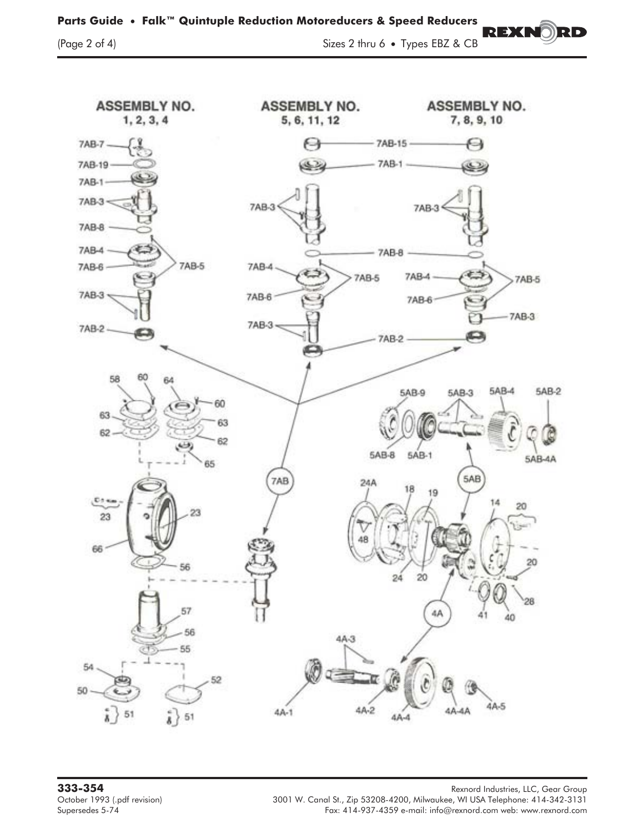## **Parts Guide** • **Falk™ Quintuple Reduction Motoreducers & Speed Reducers**

(Page 2 of 4) Sizes 2 thru 6 **•** Types EBZ & CB

REXN

RD



**333-354** Rexnord Industries, LLC, Gear Group October 1993 (.pdf revision) 3001 W. Canal St., Zip 53208-4200, Milwaukee, WI USA Telephone: 414-342-3131 (Octo<br>Fax: 414-937-4359 e-mail: info@rexnord.com web: www.rexnord.com Fax: 414-937-4359 e-mail: info@rexnord.com web: www.rexnord.com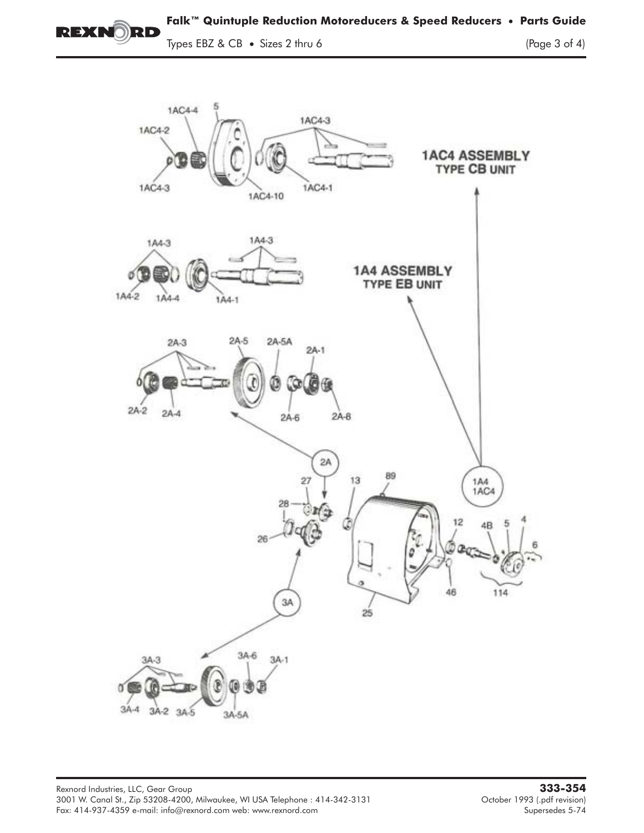